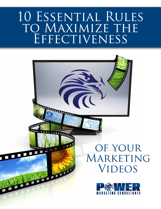# 10 ESSENTIAL RULES TO MAXIMIZE THE EFFECTIVENESS

Babar



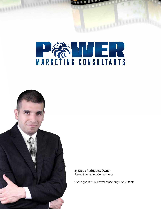



By Diego Rodriguez, Owner Power Marketing Consultants

Copyright © 2012 Power Marketing Consultants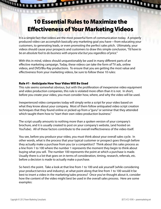# 10 Essential Rules to Maximize the Effectiveness of Your Marketing Videos

It is a simple fact that videos are the most powerful form of communication today. A properly produced video can accomplish basically any marketing goal you have—from educating your customers, to generating leads, or even promoting the perfect sales pitch. Ultimately, your videos should cause your prospects and customers to draw this simple conclusion, *"I'd have to be an absolute fool to do business with anyone else but you regardless of price."*

With this in mind, videos should unquestionably be used in many different parts of an effective marketing campaign. Today, these videos can take the form of TV ads, online videos, and DVD/Blu-Ray productions. To ensure that you are getting the most value and effectiveness from your marketing videos, be sure to follow these 10 rules:

# Rule #1 - Anticipate How Your Video Will Be Used

**BODDED** 

This rule seems somewhat obvious, but with the proliferation of inexpensive video equipment and video production companies, this rule is violated more often than it is not. In short, before you create your video, you must consider how, where, and why the video will be used.

Inexperienced video companies today will simply write a script for your video based on what they know about your company. Most of them follow antiquated video script creation techniques that they found online or picked up from a "guru" or seminar that they attended which taught them how to "start their own video production business."

The script usually amounts to nothing more than a spoken version of your company's brochure, and it is usually created to post on your company's website, (and hosted on YouTube). All of these factors contribute to the overall ineffectiveness of the video itself.

You see, before you produce your video, you must think about your overall sales cycle. In other words, what is the process that your typical customer or prospect goes through before they actually make a purchase from you (or a competitor)? Think about this sales process as a line from 1 to 100 where the number 1 represents the moment they begin to think about buying what you sell. The number 100 represents the point at which a purchase is made. Usually there is a lot that goes on in terms of consideration, timing, research, referrals, etc. before a decision is made to actually make a purchase.

So here's the point. Take a look at that line from 1 to 100 and ask yourself (while considering your product/service and industry), at what point along that line from 1 to 100 would it be best to insert a video in the marketing/sales process? Once you've thought about it, consider how the content of the video might best be used in the overall sales process. Here are some examples:

**Reddenburg** 

**WWW.**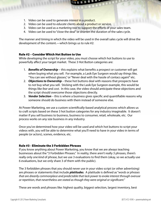- 1. Video can be used to generate *interest* in a product.
- 2. Video can be used to *educate* clients about a product or service.
- 3. Video can be used as a *marketing tool* to support the efforts of your sales team.
- 4. Video can be used to "close the deal" or shorten the duration of the sales cycle.

The manner and timing in which the video will be used in the overall sales cycle will drive the development of the content.—which brings us to rule #2:

# Rule #2 – Consider Which Hot Button to Use

**HELLER COLLEGE** 

While developing the script for your video, you must choose which hot buttons to use to powerfully affect your target market. These 3 Hot Button categories are:

- 1. *Benefits of Ownership* this explains what benefits a prospect or customer will get when buying what you sell. For example, a Lasik Eye Surgeon would say things like, "You can see without glasses," or "Never deal with the hassle of contacs again!" etc.
- 2. *Objections to Ownership*  these hot buttons deal with reasons that prospects have to *not* buy what you sell. Sticking with the Lasik Eye Surgeon example, this would be things like *fear* and *cost*. In this case, the video should anticipate these objections and the script should overcome those objections directly.
- 3. *Vendor Selection* this is where a business gives specific and quantifiable reasons why someone should do business with them instead of someone else.

At Power Marketing, we use a custom scientifically-based analytical process which allows us to craft scripts based on these 3 hot button categories for any industry imaginable. It doesn't matter if you sell business to business, business to consumer, retail, wholesale, etc. Our process works on any size business in any industry.

Once you've determined how your video will be used and which hot buttons to script your videos with, you will be able to determine what you'll need to have in your video in terms of people (or actors), scenes, evidence, etc.

#### Rule #3 - Eliminate the 3 Forbidden Phrases

If you know anything about Power Marketing, you know that we are always teaching businesses about the "3 Forbidden Phrases." In reality, there aren't really 3 phrases, there's really only *one kind* of phrase, but we use 3 evaluations to find them (okay, so we actually use 6 evaluations, but we only share 3 of them with the public).

The 3 forbidden phrases that you should never use in your video script (or other advertising) are phrases or statements that include *platitudes*. A platitude is defined as "*words or phrases that are drearily commonplace and predictable that lack power to evoke interest through overuse or repetition, that nevertheless are stated as though they were original or significant."*

These are words and phrases like: highest quality, biggest selection, largest inventory, best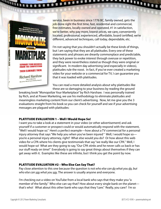

**League** 

service, been in business since 1776 BC, family owned, gets the job done right the first time, fast, residential and commercial, free estimates, locally owned and operated, #1 in satisfaction, we're better, why pay more, lowest prices, we care, conveniently located, professional, experienced, affordable, board certified, we're different, advanced techniques, call today, dependable, etc.

I'm not saying that you shouldn't actually be these kinds of things, but I am saying that they are all platitudes. Every one of these statements and phrases are drearily commonplace and predictable, they lack power to evoke interest through overuse or repetition, and they were nevertheless stated as though they were original or significant. In modern day advertising (and especially in videos), platitudes rule the roost. In fact, if you've ever created a marketing video for your website or a commercial for TV, I can guarantee you that it was loaded with platitudes.

You can read a more detailed analysis about why platitudes like these are so damaging to your business by reading the ground

breaking book "Monopolize Your Marketplace" by Rich Harshaw. I was personally trained by Rich, and at Power Marketing, we use his methodology to eliminate platitudes and meaningless marketing content from our client's advertising. Now, let me give you the 3 evaluations straight from his book so you can check for yourself and see if your advertising messages are plagued with platitudes:

# PLATITUDE EVALUATION 1 – Well I Would Hope So!

**BOOK** 

I want you to take a look at a statement in your video (or other advertisement) and ask yourself if a customer or prospect could or would automatically respond with the statement, "Well I would hope so." Here's a perfect example—how about a TV commercial for a personal injury attorney that says "We help you when you've been injured " Well, I would hope so you're a personal injury attorney, right? What else would you do? Or how about this web video for a CPA where his clients give testimonials that say "we really like our CPA." Well, I would hope so! What are they going to say, "Our CPA stinks and he never calls us back or has our stuff ready on time!" Everybody is going to say great things about themselves if they can get away with it. Examples like these are infinite, but I think you get the point by now.

# PLATITUDE EVALUATION #2 – Who Else Can Say That?

Pay close attention to this one because the question is not *who else can do what you do, but who else can say what you say*. The answer is usually anyone and everyone.

I'm checking out a video on YouTube from a local bank who says that they make you "a member of the family." Who else can say that? How about every single bank on the planet that's who! What about this other bank who says that they "care." Really, you care? I'm so

**PERSONAL PROPER** 

 $\blacksquare$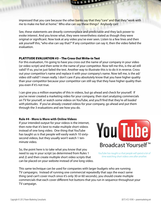impressed that you care because the other banks say that they "care" and that they "work with me to make me feel at home." Who else can say these things? Anybody can!

See, these statements are drearily commonplace and predictable and they lack power to evoke interest. And you know what, they were nevertheless stated as though they were original or significant. Now look at any video you've ever seen. Listen to a few lines and then ask yourself this, "who else can say that?" If any competitor can say it, then the video failed the evaluation.

# PLATITUDE EVALUATION #3 – The Cross Out Write-in Test

For this evaluation, I'm going to have you cross out the name of your company in your video (or video script) and then write in the name of your competitor. Now tell me this, is the ad still valid? If so, you've just failed the test. Another way to illustrate this is to do it in reverse. Cross out your competitor's name and replace it with your company's name. Now tell me, is the ad/ video still valid? I mean really. I don't care if you absolutely know that you have higher quality than your competitor because your competitor can still say that they have higher quality than you even if it's not true.

I can give you a million examples of this in videos, but go ahead and check for yourself. If you've never created a marketing video for your company, then start analyzing commercials on TV for yourself, or watch some videos on YouTube, and you'll find that they're *all loaded with platitudes*. If you've already created videos for your company, go ahead and put them through the 3 evaluations and see how you do.

#### **Rule #4 - More is More with Online Videos**

If your intended output for your videos is the internet, then note that it's best to make multiple short videos instead of one long video. One thing that YouTube has taught us is that people will easily watch 10 sixtysecond videos, but they usually won't watch 1 tenminute video.

So, the point here is to take what you know that you need to say in your script (as determined from Rules 1 and 2) and then create multiple short video scripts that can be placed on your website instead of one long video.



*YouTube has taught us that people will spend a lot of time watching short videos one after another.*

This same technique can be used for companies with larger budgets who are running TV campaigns. Instead of running one commercial repeatedly that says the exact same thing (and can't cover much since it's only 30 or 60 seconds), you should create multiple commercials that each cover different hot buttons that you run in sequence throughout your TV campaign.

**THE PARTIES**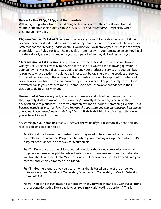#### Rule # 5 – Use FAQs, SAQs, and Testimonials

**Continuum de la Commence de la Commence de la Commence de la Commence de la Commence de la Commence de la Comme** 

Without getting into advanced marketing techniques, one of the easiest ways to create multiple effective short videos is to use *FAQs, SAQs, and Testimonials*—especially when creating online videos.

*FAQs are Frequently Asked Questions.* The reason you want to create videos with FAQs is because these short videos draw visitors into deeper interaction with your website since users prefer videos over reading. Additionally, if you use your own employees (which is not always preferable—see Rule #10), it can help develop more trust with your prospects since they'll feel like they already are acquainted with your company before they do business with you.

*SAQs are Should Ask Questions* or questions a prospect should be asking before buying what you sell. The easiest way to develop these is to ask yourself the following question: if your aunt who lives out of state was going to buy your product or service and couldn't buy it from you, what questions would you tell her to ask before she buys the product or service from another company? The answers to these questions should be captured on video and placed on your website. These are powerful questions, which, if appropriately scripted and answered, cause your prospects and customers to have unshakable confidence in their decision to do business with you.

*Testimonial videos* – everybody knows what these are and lots of people use them, but they typically do them wrong. The reason they're usually done wrong is because they're always filled with platitudes! The most common testimonial sounds something like this, *"I did business with Acme and I just love them. They are the best company and they have the best quality and value. I recommend them to all of my friends."* Blah, blah, blah. If you've heard this once, you've heard it a million times.

So, let me give you some tips that will increase the value of your testimonial videos a zillion fold (or at least a gazillion-fold):

*Tip #1* - First of all, never script testimonials. They need to be answered honestly and naturally by the customer. People can tell when you're reading a script. And while that's okay for other videos, it's not okay for testimonials.

*Tip #2* – Don't ask the same old antiquated questions that video companies always ask to generate these lame, platitude-filled testimonials. These are questions like: "What do you like about Johnson Dental?" or "How does Dr. Johnson make you feel?" or "Would you recommend Smith Chiropractic to a friend?"

*Tip #3* – Get the client to give you a testimonial that is based on one of the three hot button categories: Benefits of Ownership, Objections to Ownership, or Vendor Selection (from Rule #2).

*Tip #4* – You can get customers to say exactly what you want them to say without scripting the response by acting like a bad lawyer. You simply ask "leading questions." This is

<u>Littletin</u>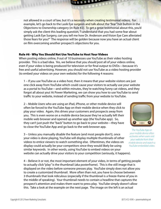not allowed in a court of law, but it's a **necessity when creating testimonial videos.** For example, let's go back to the Lasik Eye surgeon and talk about the "fear" hot button in the Objections to Ownership category (in Rule #2). To get a great testimonial about this, you'd simply ask the client this leading question, "I understand that you had some fear about getting Lasik Eye Surgery, can you tell me how Dr. Anderson and Vision Eye Care alleviated those fears for you?" The response will be golden because now you have an actual client on film overcoming another prospect's objections for you.

# Rule #6 - Why You Should Not Use YouTube to Host Your Videos

When posting videos online, 9 out of 10 businesses use YouTube as their video hosting provider. This is a bad idea. Yes, we believe that you *should* post all of your videos online, even if your video is being produced for television or for final output to DVDs—because it's free and useful advertising. However, you should not use YouTube as a video hosting provider (to embed your videos on your own website) for the following 4 reasons:

1 – If you use YouTube as a video host, then it means that your website visitors are just one click away from YouTube which could cause your visitors to actually use your website as a portal to YouTube—and within minutes, they're watching funny cat videos, and they forgot all about you! At Power Marketing, we can show you how to use YouTube to send traffic to your website, instead of sending traffic from your website to YouTube.

2 – Mobile Users who are using an iPad, iPhone, or other mobile device will often be forced to the YouTube App on their mobile device when they click to play your video. Again, this drives your customers and prospects away from you. This is even worse on a mobile device because they've actually left their mobile web browser and opened up another app (the YouTube app). So, they can't just push the "back" button to go back to your website—they have to close the YouTube App and go back to the web browser app.

3 – Unless you manually disable the feature (and most people don't), once your video is done playing, YouTube will display multiple thumbnails of other videos to entice viewers to watch something else. Oftentimes, the videos on display could actually be your competitors since they would likely be using similar keywords. In other words, using YouTube to embed videos on your website can actually drive your visitors to your competition (seriously, it happens).

4 – Believe it or not, the most important element of your video, in terms of getting people to actually click "play" is the thumbnail (aka posterframe). This is the still image that is displayed on the video before someone presses play. YouTube simply does not allow you to create a customized thumbnail. More often than not, you have to choose between 3 thumbnails that look ridiculous (especially if the thumbnail is a freeze-frame of you in the middle of speaking). Your thumbnail needs to contain a headline that captures the prospect's attention and makes them want to press play. YouTube simply doesn't allow this. Take a look at the example on the next page. The image on the left is an actual



*The YouTube App on your mobile device often activates when users visit your website from their mobile device and watch a YouTube embedded video.*

**HELLETTELLETTE**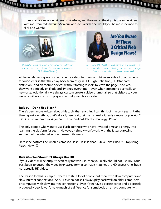thumbnail of one of our videos on YouTube, and the one on the right is the same video with a *customized thumbnail* on our website. Which one would you be more inclined to click and watch?



**OV** 

**BOOT** 

**Reading** 

*This is the actual thumbnail for one of our videos on YouTube (find the video on YouTube by searching for "Boise Web Design")*



10000

*This is the EXACT SAME video hosted on our website. This can be found at powermarketing.net/boise-web-design. (Yes, it has rounded corners on the video.)*

At Power Marketing, we host our client's videos for them and triple encode all of our videos for our clients so that they play back seamlessly in HD (High Definition), SD (standard definition), and on mobile devices without forcing visitors to leave the page. And yes, they work perfectly on iPads and iPhones, everytime—even when streaming over cellular networks. Additionally, we always custom create a video thumbnail so that visitors to your website will want to push play and actually watch your video.

# Rule #7 – Don't Use Flash®

There's been more written about this topic than anything I can think of in recent years. Rather than repeat everything that's already been said, let me just make it really simple for you: *don't use Flash on your website anymore*. It's old and outdated technology. Period.

The only people who want to use Flash are those who have invested time and energy into learning the platform for years. However, it simply won't work with the fastest growing segment of the internet economy—mobile users.

Here's the bottom line when it comes to Flash: Flash is dead. Steve Jobs killed it. Stop using Flash. Now.  $\odot$ 

# Rule #8 – You Shouldn't Always Use HD

If your videos will be output specifically for web use, then you really should not use HD. Your best bet is to output the video in 640x360 format so that it matches the HD aspect ratio, but is not actually HD video.

The reason for this is simple—there are still a lot of people out there with slow computers and slow internet connections. And, HD video doesn't always play back well on older computers or computers with slow internet connections. Even if you have a perfect script and a perfectly produced video, it won't make much of a difference for somebody on an old computer with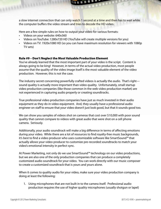a slow internet connection that can only watch 1 second at a time and then has to wait while the computer buffers the video stream and tries to decode the HD video.

Here are a few simple rules on how to output your video for various formats:

Videos on your website: 640x360

- Videos on YouTube: 1280x720 HD (YouTube will create multiple versions for you)
- • Videos on TV: 1920x1080 HD (so you can have maximum resolution for viewers with 1080p TV sets)

# Rule #9 – Don't Neglect the Most Valuable Production Element

You've already learned that the most important part of your video is the script. Content is always going to be king! However, in terms of the actual video production, most people assume that the quality of the video image itself is the most valuable element of the video production. However, this is not the case.

The industry secret concerning powerfully crafted videos is actually the *audio*. That's right sound quality is actually more important than video quality. Unfortunately, small startup video production companies (like those common in the web video production market) are not experienced in capturing audio properly or creating soundtracks.

True professional video production companies have just as much invested in their audio equipment as they do in video equipment. And, they usually have a professional audio engineer on staff to ensure that your video doesn't just look good, but that it sounds good too.

We can show you samples of videos shot on cameras that cost over \$10,000 with poor sound quality that cannot compare to videos with great audio that were shot on a cell phone camera. Seriously.

Additionally, your audio soundtrack will make a big difference in terms of affecting emotions during your video. While there are a lot of resources to find royalty-free music backgrounds, it's best to find a video producer who uses customizable software like SmartSound™ that actually allows your video producer to customize pre-recorded soundtracks to match your video's emotional intensity in perfect sync.

At Power Marketing, not only do we use SmartSound™ technology on our video productions, but we are also one of the only production companies that can produce a completely customized audio soundtrack for your video. You can work directly with our music composer to create a customized soundtrack that is yours and yours alone.

When it comes to quality audio for your video, make sure your video production company is doing at least the following:

1. Using microphones that are not built in to the camera itself. Professional audio production requires the use of higher quality microphones (usually shotgun or lapel)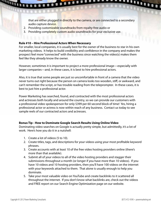that are either plugged in directly to the camera, or are connected to a secondary audio capture device.

- 2. Providing customizable soundtracks from royalty-free audio or
- 3. Providing completely custom audio soundtracks for your exclusive use.

#### **Rule #10 – Hire Professional Actors When Necessary**

**Continuum de commence de la commence de la commence de la commence de la commence de la commence de la commence de la commence de la commence de la commence de la commence de la commence de la commence de la commence de l** 

For smaller, local companies, it is usually best for the owner of the business to star in his own marketing videos. It helps to build credibility and confidence in the company and makes the prospect feel more "connected" with the business since watching the video(s) makes them feel like they already know the owner.

However, sometimes it is important to project a more professional image—especially with larger companies—and, in these cases, it is best to hire professional actors.

Also, it is true that some people are just so uncomfortable in front of a camera that the video never turns out right because the person on camera looks too wooden, stiff, or awkward, and can't remember the script, or has trouble reading from the teleprompter. In these cases, it is best to just hire a professional actor.

Power Marketing has searched, found, and contracted with the most professional actors and actresses both locally and around the country, so we can provide our customers with a professional video spokesperson for only \$399 per 60 second block of time! Yes, hiring a professional actor or actress is now within reach of any business. Contact us today to see sample reels of our contracted actors and actresses.

#### **Bonus Tip - How to Dominate Google Search Results Using Online Video**

Dominating video searches on Google is actually pretty simple, but admittedly, it's a lot of work. Here's how you do it in a nutshell:

- 1. Create a lot of videos (5 to 10).
- 2. Create titles, tags, and descriptions for your videos using your most profitable keyword phrases.
- 3. Create accounts with at least 10 of the free video hosting providers online (there's more than that available).
- 4. Submit all of your videos to all of the video hosting providers and stagger their submissions throughout a month (or longer if you have more than 10 videos). If you have 10 videos and 10 hosting providers, then you'll have 100 videos on the internet with your keywords attached to them. That alone is usually enough to help you dominate.
- 5. Take your most valuable video on YouTube and create backlinks to it scattered all throughout the internet. If you don't know what backlinks are, check out the videos and FREE report on our Search Engine Optimization page on our website.

<u>Little of the Second Station of the Second Station of the Second Station of the Second Station of the Second Station of the Second Station of the Second Station of the Second Station of the Second Station of the Second St</u>